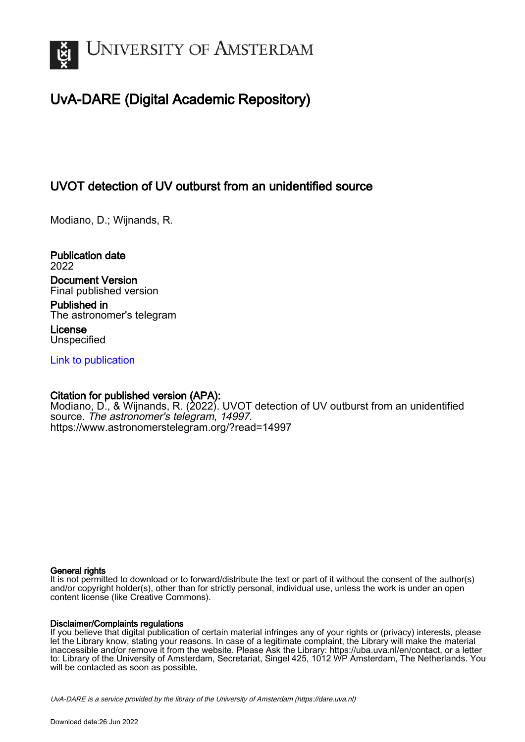

# UvA-DARE (Digital Academic Repository)

## UVOT detection of UV outburst from an unidentified source

Modiano, D.; Wijnands, R.

Publication date 2022 Document Version Final published version

Published in The astronomer's telegram

License **Unspecified** 

[Link to publication](https://dare.uva.nl/personal/pure/en/publications/uvot-detection-of-uv-outburst-from-an-unidentified-source(f0363b55-8bef-4246-9938-9ec773acf5ed).html)

## Citation for published version (APA):

Modiano, D., & Wijnands, R. (2022). UVOT detection of UV outburst from an unidentified source. The astronomer's telegram, 14997. <https://www.astronomerstelegram.org/?read=14997>

#### General rights

It is not permitted to download or to forward/distribute the text or part of it without the consent of the author(s) and/or copyright holder(s), other than for strictly personal, individual use, unless the work is under an open content license (like Creative Commons).

#### Disclaimer/Complaints regulations

If you believe that digital publication of certain material infringes any of your rights or (privacy) interests, please let the Library know, stating your reasons. In case of a legitimate complaint, the Library will make the material inaccessible and/or remove it from the website. Please Ask the Library: https://uba.uva.nl/en/contact, or a letter to: Library of the University of Amsterdam, Secretariat, Singel 425, 1012 WP Amsterdam, The Netherlands. You will be contacted as soon as possible.

UvA-DARE is a service provided by the library of the University of Amsterdam (http*s*://dare.uva.nl)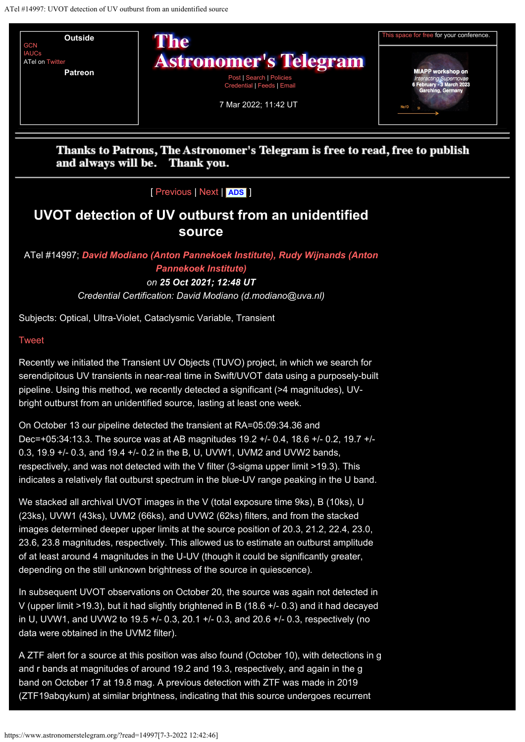

Thanks to Patrons, The Astronomer's Telegram is free to read, free to publish and always will be. Thank you.

[ [Previous](https://www.astronomerstelegram.org/?read=14996) | [Next](https://www.astronomerstelegram.org/?read=14998) | **[ADS](https://ui.adsabs.harvard.edu/search/q=bibstem%3A%22ATel14997%22)** ]

## **UVOT detection of UV outburst from an unidentified source**

## ATel #14997; *[David Modiano \(Anton Pannekoek Institute\), Rudy Wijnands \(Anton](mailto:d.modiano@uva.nl) [Pannekoek Institute\)](mailto:d.modiano@uva.nl) on 25 Oct 2021; 12:48 UT*

*Credential Certification: David Modiano (d.modiano@uva.nl)*

Subjects: Optical, Ultra-Violet, Cataclysmic Variable, Transient

### [Tweet](https://twitter.com/share?ref_src=twsrc%5Etfw)

Recently we initiated the Transient UV Objects (TUVO) project, in which we search for serendipitous UV transients in near-real time in Swift/UVOT data using a purposely-built pipeline. Using this method, we recently detected a significant (>4 magnitudes), UVbright outburst from an unidentified source, lasting at least one week.

On October 13 our pipeline detected the transient at RA=05:09:34.36 and Dec=+05:34:13.3. The source was at AB magnitudes 19.2 +/- 0.4, 18.6 +/- 0.2, 19.7 +/- 0.3, 19.9 +/- 0.3, and 19.4 +/- 0.2 in the B, U, UVW1, UVM2 and UVW2 bands, respectively, and was not detected with the V filter (3-sigma upper limit >19.3). This indicates a relatively flat outburst spectrum in the blue-UV range peaking in the U band.

We stacked all archival UVOT images in the V (total exposure time 9ks), B (10ks), U (23ks), UVW1 (43ks), UVM2 (66ks), and UVW2 (62ks) filters, and from the stacked images determined deeper upper limits at the source position of 20.3, 21.2, 22.4, 23.0, 23.6, 23.8 magnitudes, respectively. This allowed us to estimate an outburst amplitude of at least around 4 magnitudes in the U-UV (though it could be significantly greater, depending on the still unknown brightness of the source in quiescence).

In subsequent UVOT observations on October 20, the source was again not detected in V (upper limit >19.3), but it had slightly brightened in B (18.6 +/- 0.3) and it had decayed in U, UVW1, and UVW2 to 19.5 +/- 0.3, 20.1 +/- 0.3, and 20.6 +/- 0.3, respectively (no data were obtained in the UVM2 filter).

A ZTF alert for a source at this position was also found (October 10), with detections in g and r bands at magnitudes of around 19.2 and 19.3, respectively, and again in the g band on October 17 at 19.8 mag. A previous detection with ZTF was made in 2019 (ZTF19abqykum) at similar brightness, indicating that this source undergoes recurrent